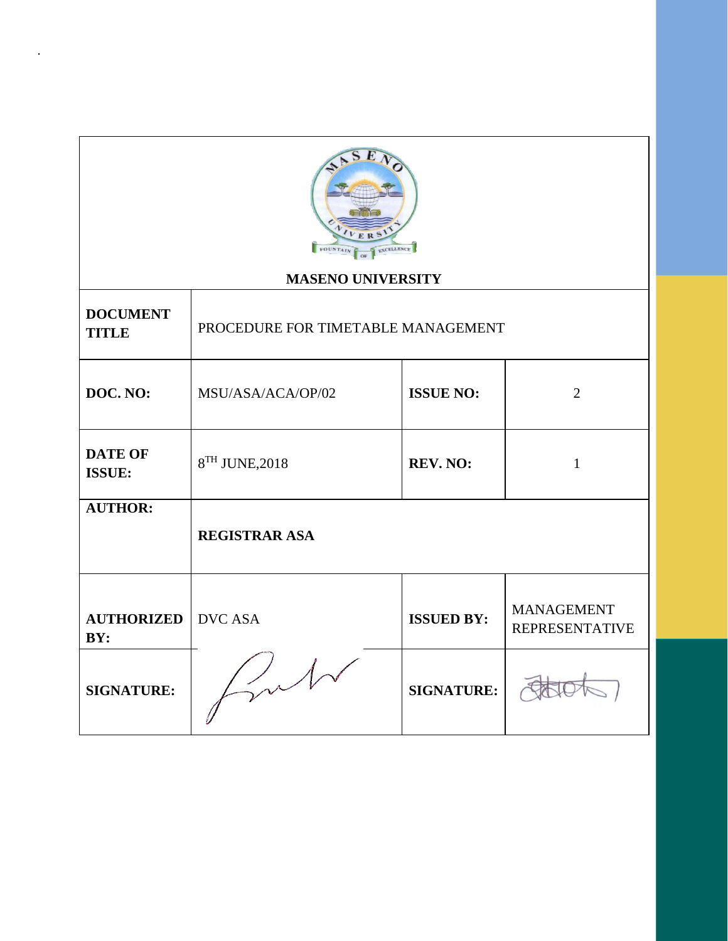

.

## **MASENO UNIVERSITY**

| <b>DOCUMENT</b><br><b>TITLE</b> | PROCEDURE FOR TIMETABLE MANAGEMENT |                   |                                            |
|---------------------------------|------------------------------------|-------------------|--------------------------------------------|
| DOC. NO:                        | MSU/ASA/ACA/OP/02                  | <b>ISSUE NO:</b>  | $\overline{2}$                             |
| <b>DATE OF</b><br><b>ISSUE:</b> | 8TH JUNE, 2018                     | REV. NO:          | 1                                          |
| <b>AUTHOR:</b>                  | <b>REGISTRAR ASA</b>               |                   |                                            |
| <b>AUTHORIZED</b><br>BY:        | <b>DVC ASA</b>                     | <b>ISSUED BY:</b> | <b>MANAGEMENT</b><br><b>REPRESENTATIVE</b> |
| <b>SIGNATURE:</b>               |                                    | <b>SIGNATURE:</b> |                                            |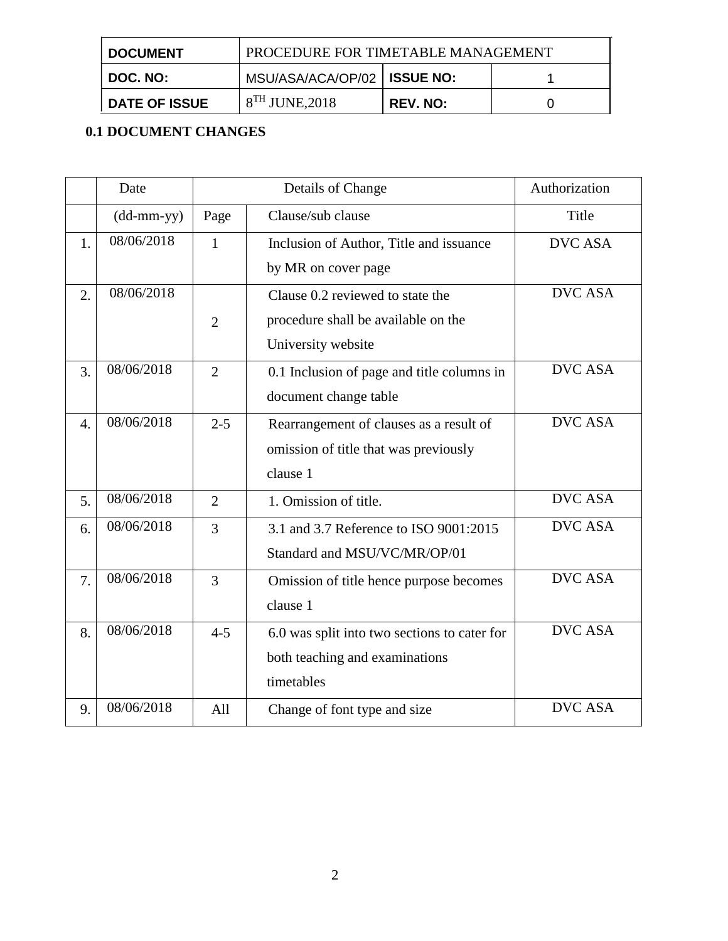| <b>I DOCUMENT</b>    | PROCEDURE FOR TIMETABLE MANAGEMENT |                 |  |
|----------------------|------------------------------------|-----------------|--|
| ∣ DOC. NO:           | MSU/ASA/ACA/OP/02   ISSUE NO:      |                 |  |
| <b>DATE OF ISSUE</b> | $8^{TH}$ JUNE, 2018                | <b>REV. NO:</b> |  |

# **0.1 DOCUMENT CHANGES**

|                  | Date                                              | Details of Change |                                              | Authorization  |
|------------------|---------------------------------------------------|-------------------|----------------------------------------------|----------------|
|                  | $(dd{\text{-}\!\!\,\text{mm-}}\text{\small{yy}})$ | Page              | Clause/sub clause                            | Title          |
| 1.               | 08/06/2018                                        | $\mathbf{1}$      | Inclusion of Author, Title and issuance      | <b>DVC ASA</b> |
|                  |                                                   |                   | by MR on cover page                          |                |
| $\overline{2}$ . | 08/06/2018                                        |                   | Clause 0.2 reviewed to state the             | <b>DVC ASA</b> |
|                  |                                                   | $\overline{2}$    | procedure shall be available on the          |                |
|                  |                                                   |                   | University website                           |                |
| 3.               | 08/06/2018                                        | $\overline{2}$    | 0.1 Inclusion of page and title columns in   | <b>DVC ASA</b> |
|                  |                                                   |                   | document change table                        |                |
| $\overline{4}$ . | 08/06/2018                                        | $2 - 5$           | Rearrangement of clauses as a result of      | <b>DVC ASA</b> |
|                  |                                                   |                   | omission of title that was previously        |                |
|                  |                                                   |                   | clause 1                                     |                |
| 5.               | 08/06/2018                                        | $\overline{2}$    | 1. Omission of title.                        | <b>DVC ASA</b> |
| 6.               | 08/06/2018                                        | 3                 | 3.1 and 3.7 Reference to ISO 9001:2015       | <b>DVC ASA</b> |
|                  |                                                   |                   | Standard and MSU/VC/MR/OP/01                 |                |
| 7.               | 08/06/2018                                        | $\overline{3}$    | Omission of title hence purpose becomes      | <b>DVC ASA</b> |
|                  |                                                   |                   | clause 1                                     |                |
| 8.               | 08/06/2018                                        | $4 - 5$           | 6.0 was split into two sections to cater for | <b>DVC ASA</b> |
|                  |                                                   |                   | both teaching and examinations               |                |
|                  |                                                   |                   | timetables                                   |                |
| 9.               | 08/06/2018                                        | All               | Change of font type and size                 | <b>DVC ASA</b> |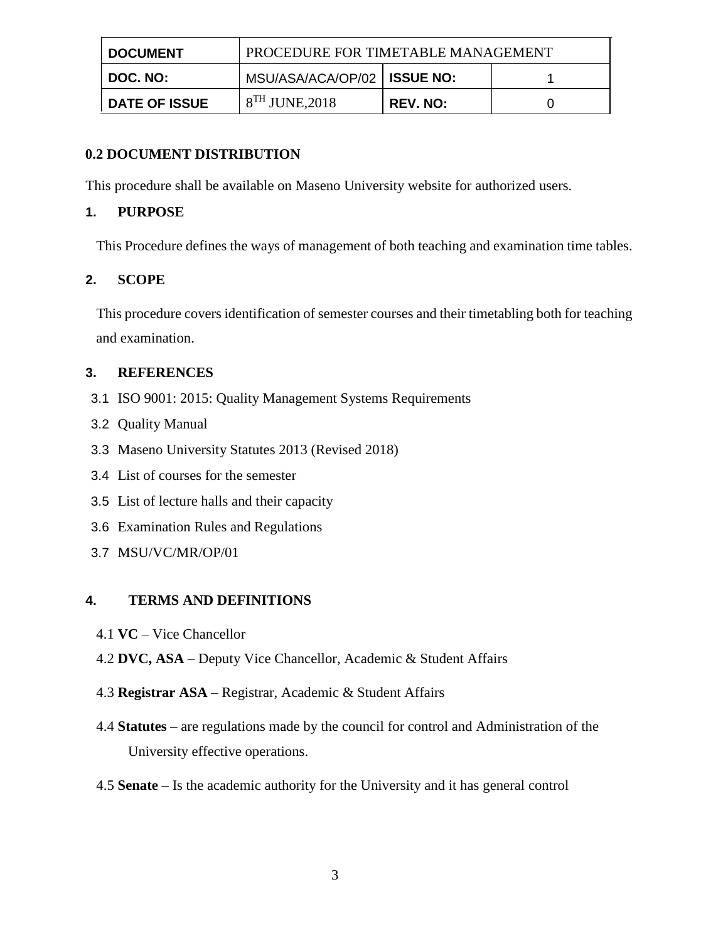| ∣ DOCUMENT           | PROCEDURE FOR TIMETABLE MANAGEMENT |          |  |
|----------------------|------------------------------------|----------|--|
| $\vert$ DOC. NO:     | MSU/ASA/ACA/OP/02   ISSUE NO:      |          |  |
| <b>DATE OF ISSUE</b> | $8TH$ JUNE, 2018                   | REV. NO: |  |

### **0.2 DOCUMENT DISTRIBUTION**

This procedure shall be available on Maseno University website for authorized users.

## **1. PURPOSE**

This Procedure defines the ways of management of both teaching and examination time tables.

## **2. SCOPE**

This procedure covers identification of semester courses and their timetabling both for teaching and examination.

## **3. REFERENCES**

- 3.1 ISO 9001: 2015: Quality Management Systems Requirements
- 3.2 Quality Manual
- 3.3 Maseno University Statutes 2013 (Revised 2018)
- 3.4 List of courses for the semester
- 3.5 List of lecture halls and their capacity
- 3.6 Examination Rules and Regulations
- 3.7 MSU/VC/MR/OP/01

## **4. TERMS AND DEFINITIONS**

- 4.1 **VC** Vice Chancellor
- 4.2 **DVC, ASA** Deputy Vice Chancellor, Academic & Student Affairs
- 4.3 **Registrar ASA** Registrar, Academic & Student Affairs
- 4.4 **Statutes** are regulations made by the council for control and Administration of the University effective operations.
- 4.5 **Senate**  Is the academic authority for the University and it has general control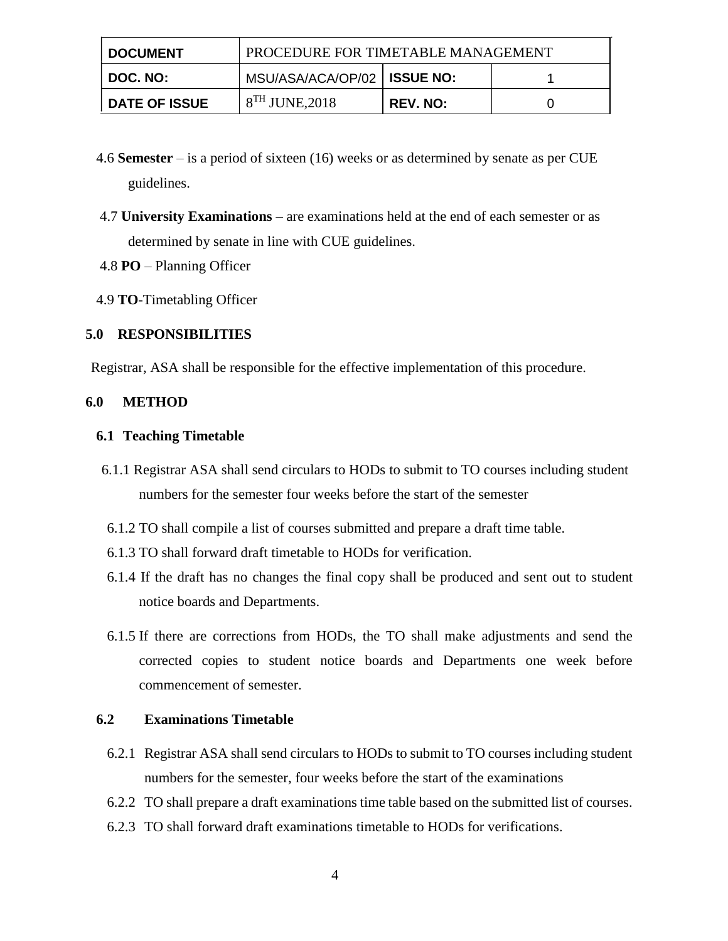| <b>DOCUMENT</b>      | PROCEDURE FOR TIMETABLE MANAGEMENT |          |  |
|----------------------|------------------------------------|----------|--|
| <b>DOC. NO:</b>      | MSU/ASA/ACA/OP/02   ISSUE NO:      |          |  |
| <b>DATE OF ISSUE</b> | $8^{TH}$ JUNE, 2018                | REV. NO: |  |

- 4.6 **Semester**  is a period of sixteen (16) weeks or as determined by senate as per CUE guidelines.
- 4.7 **University Examinations** are examinations held at the end of each semester or as determined by senate in line with CUE guidelines.
- 4.8 **PO** Planning Officer
- 4.9 **TO**-Timetabling Officer

### **5.0 RESPONSIBILITIES**

Registrar, ASA shall be responsible for the effective implementation of this procedure.

### **6.0 METHOD**

#### **6.1 Teaching Timetable**

- 6.1.1 Registrar ASA shall send circulars to HODs to submit to TO courses including student numbers for the semester four weeks before the start of the semester
- 6.1.2 TO shall compile a list of courses submitted and prepare a draft time table.
- 6.1.3 TO shall forward draft timetable to HODs for verification.
- 6.1.4 If the draft has no changes the final copy shall be produced and sent out to student notice boards and Departments.
- 6.1.5 If there are corrections from HODs, the TO shall make adjustments and send the corrected copies to student notice boards and Departments one week before commencement of semester.

### **6.2 Examinations Timetable**

- 6.2.1 Registrar ASA shall send circulars to HODs to submit to TO courses including student numbers for the semester, four weeks before the start of the examinations
- 6.2.2 TO shall prepare a draft examinations time table based on the submitted list of courses.
- 6.2.3 TO shall forward draft examinations timetable to HODs for verifications.